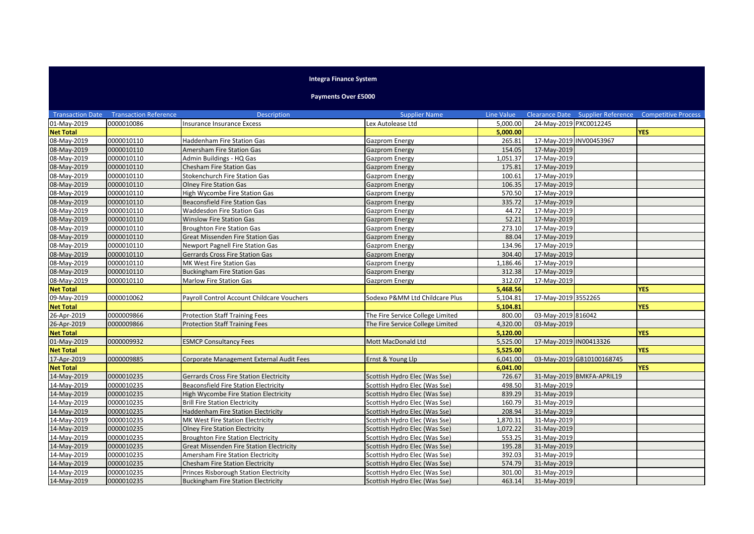## **Integra Finance System**

## **Payments Over £5000**

|                  | <b>Transaction Date Transaction Reference</b> | <b>Description</b>                              | <b>Supplier Name</b>             | Line Value |                        |                           | Clearance Date Supplier Reference Competitive Process |
|------------------|-----------------------------------------------|-------------------------------------------------|----------------------------------|------------|------------------------|---------------------------|-------------------------------------------------------|
| 01-May-2019      | 0000010086                                    | Insurance Insurance Excess                      | Lex Autolease Ltd                | 5,000.00   | 24-May-2019 PXC0012245 |                           |                                                       |
| <b>Net Total</b> |                                               |                                                 |                                  | 5,000.00   |                        |                           | <b>YES</b>                                            |
| 08-May-2019      | 0000010110                                    | <b>Haddenham Fire Station Gas</b>               | Gazprom Energy                   | 265.81     |                        | 17-May-2019 INV00453967   |                                                       |
| 08-May-2019      | 0000010110                                    | Amersham Fire Station Gas                       | <b>Gazprom Energy</b>            | 154.05     | 17-May-2019            |                           |                                                       |
| 08-May-2019      | 0000010110                                    | Admin Buildings - HQ Gas                        | Gazprom Energy                   | 1,051.37   | 17-May-2019            |                           |                                                       |
| 08-May-2019      | 0000010110                                    | <b>Chesham Fire Station Gas</b>                 | Gazprom Energy                   | 175.81     | 17-May-2019            |                           |                                                       |
| 08-May-2019      | 0000010110                                    | <b>Stokenchurch Fire Station Gas</b>            | Gazprom Energy                   | 100.61     | 17-May-2019            |                           |                                                       |
| 08-May-2019      | 0000010110                                    | <b>Olney Fire Station Gas</b>                   | Gazprom Energy                   | 106.35     | 17-May-2019            |                           |                                                       |
| 08-May-2019      | 0000010110                                    | High Wycombe Fire Station Gas                   | Gazprom Energy                   | 570.50     | 17-May-2019            |                           |                                                       |
| 08-May-2019      | 0000010110                                    | <b>Beaconsfield Fire Station Gas</b>            | <b>Gazprom Energy</b>            | 335.72     | 17-May-2019            |                           |                                                       |
| 08-May-2019      | 0000010110                                    | Waddesdon Fire Station Gas                      | Gazprom Energy                   | 44.72      | 17-May-2019            |                           |                                                       |
| 08-May-2019      | 0000010110                                    | <b>Winslow Fire Station Gas</b>                 | Gazprom Energy                   | 52.21      | 17-May-2019            |                           |                                                       |
| 08-May-2019      | 0000010110                                    | <b>Broughton Fire Station Gas</b>               | Gazprom Energy                   | 273.10     | 17-May-2019            |                           |                                                       |
| 08-May-2019      | 0000010110                                    | Great Missenden Fire Station Gas                | Gazprom Energy                   | 88.04      | 17-May-2019            |                           |                                                       |
| 08-May-2019      | 0000010110                                    | Newport Pagnell Fire Station Gas                | Gazprom Energy                   | 134.96     | 17-May-2019            |                           |                                                       |
| 08-May-2019      | 0000010110                                    | <b>Gerrards Cross Fire Station Gas</b>          | Gazprom Energy                   | 304.40     | 17-May-2019            |                           |                                                       |
| 08-May-2019      | 0000010110                                    | MK West Fire Station Gas                        | Gazprom Energy                   | 1,186.46   | 17-May-2019            |                           |                                                       |
| 08-May-2019      | 0000010110                                    | <b>Buckingham Fire Station Gas</b>              | Gazprom Energy                   | 312.38     | 17-May-2019            |                           |                                                       |
| 08-May-2019      | 0000010110                                    | Marlow Fire Station Gas                         | Gazprom Energy                   | 312.07     | 17-May-2019            |                           |                                                       |
| <b>Net Total</b> |                                               |                                                 |                                  | 5,468.56   |                        |                           | <b>YES</b>                                            |
| 09-May-2019      | 0000010062                                    | Payroll Control Account Childcare Vouchers      | Sodexo P&MM Ltd Childcare Plus   | 5,104.81   | 17-May-2019 3552265    |                           |                                                       |
| <b>Net Total</b> |                                               |                                                 |                                  | 5,104.81   |                        |                           | <b>YES</b>                                            |
| 26-Apr-2019      | 0000009866                                    | <b>Protection Staff Training Fees</b>           | The Fire Service College Limited | 800.00     | 03-May-2019 816042     |                           |                                                       |
| 26-Apr-2019      | 0000009866                                    | <b>Protection Staff Training Fees</b>           | The Fire Service College Limited | 4,320.00   | 03-May-2019            |                           |                                                       |
| <b>Net Total</b> |                                               |                                                 |                                  | 5,120.00   |                        |                           | <b>YES</b>                                            |
| 01-May-2019      | 0000009932                                    | <b>ESMCP Consultancy Fees</b>                   | Mott MacDonald Ltd               | 5,525.00   | 17-May-2019 IN00413326 |                           |                                                       |
| <b>Net Total</b> |                                               |                                                 |                                  | 5,525.00   |                        |                           | <b>YES</b>                                            |
| 17-Apr-2019      | 0000009885                                    | Corporate Management External Audit Fees        | Ernst & Young Llp                | 6,041.00   |                        | 03-May-2019 GB10100168745 |                                                       |
| <b>Net Total</b> |                                               |                                                 |                                  | 6,041.00   |                        |                           | <b>YES</b>                                            |
| 14-May-2019      | 0000010235                                    | <b>Gerrards Cross Fire Station Electricity</b>  | Scottish Hydro Elec (Was Sse)    | 726.67     |                        | 31-May-2019 BMKFA-APRIL19 |                                                       |
| 14-May-2019      | 0000010235                                    | <b>Beaconsfield Fire Station Electricity</b>    | Scottish Hydro Elec (Was Sse)    | 498.50     | 31-May-2019            |                           |                                                       |
| 14-May-2019      | 0000010235                                    | High Wycombe Fire Station Electricity           | Scottish Hydro Elec (Was Sse)    | 839.29     | 31-May-2019            |                           |                                                       |
| 14-May-2019      | 0000010235                                    | <b>Brill Fire Station Electricity</b>           | Scottish Hydro Elec (Was Sse)    | 160.79     | 31-May-2019            |                           |                                                       |
| 14-May-2019      | 0000010235                                    | <b>Haddenham Fire Station Electricity</b>       | Scottish Hydro Elec (Was Sse)    | 208.94     | 31-May-2019            |                           |                                                       |
| 14-May-2019      | 0000010235                                    | MK West Fire Station Electricity                | Scottish Hydro Elec (Was Sse)    | 1,870.31   | 31-May-2019            |                           |                                                       |
| 14-May-2019      | 0000010235                                    | <b>Olney Fire Station Electricity</b>           | Scottish Hydro Elec (Was Sse)    | 1,072.22   | 31-May-2019            |                           |                                                       |
| 14-May-2019      | 0000010235                                    | <b>Broughton Fire Station Electricity</b>       | Scottish Hydro Elec (Was Sse)    | 553.25     | 31-May-2019            |                           |                                                       |
| 14-May-2019      | 0000010235                                    | <b>Great Missenden Fire Station Electricity</b> | Scottish Hydro Elec (Was Sse)    | 195.28     | 31-May-2019            |                           |                                                       |
| 14-May-2019      | 0000010235                                    | Amersham Fire Station Electricity               | Scottish Hydro Elec (Was Sse)    | 392.03     | 31-May-2019            |                           |                                                       |
| 14-May-2019      | 0000010235                                    | <b>Chesham Fire Station Electricity</b>         | Scottish Hydro Elec (Was Sse)    | 574.79     | 31-May-2019            |                           |                                                       |
| 14-May-2019      | 0000010235                                    | Princes Risborough Station Electricity          | Scottish Hydro Elec (Was Sse)    | 301.00     | 31-May-2019            |                           |                                                       |
| 14-May-2019      | 0000010235                                    | <b>Buckingham Fire Station Electricity</b>      | Scottish Hydro Elec (Was Sse)    | 463.14     | 31-May-2019            |                           |                                                       |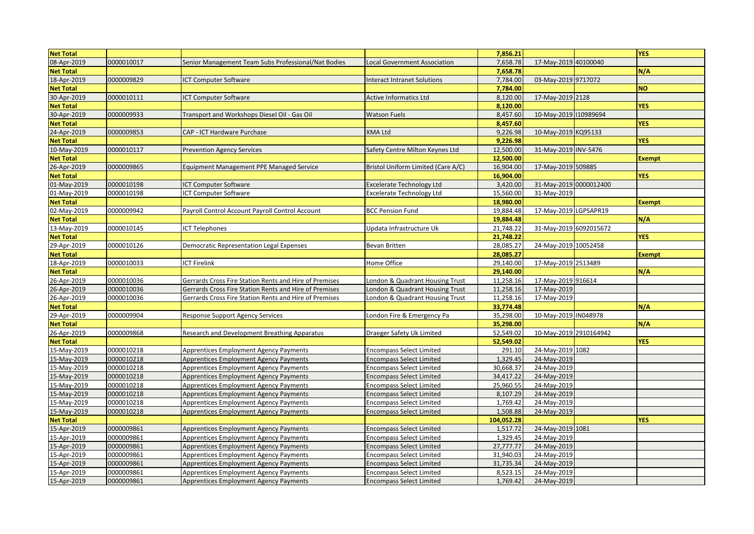| <b>Net Total</b> |            |                                                        |                                    | 7,856.21   |                        | <b>YFS</b>    |
|------------------|------------|--------------------------------------------------------|------------------------------------|------------|------------------------|---------------|
| 08-Apr-2019      | 0000010017 | Senior Management Team Subs Professional/Nat Bodies    | Local Government Association       | 7,658.78   | 17-May-2019 40100040   |               |
| <b>Net Total</b> |            |                                                        |                                    | 7,658.78   |                        | N/A           |
| 18-Apr-2019      | 0000009829 | CT Computer Software                                   | <b>Interact Intranet Solutions</b> | 7,784.00   | 03-May-2019 9717072    |               |
| <b>Net Total</b> |            |                                                        |                                    | 7,784.00   |                        | <b>NO</b>     |
| 30-Apr-2019      | 0000010111 | <b>CT Computer Software</b>                            | <b>Active Informatics Ltd</b>      | 8,120.00   | 17-May-2019 2128       |               |
| <b>Net Total</b> |            |                                                        |                                    | 8,120.00   |                        | <b>YES</b>    |
| 30-Apr-2019      | 0000009933 | Transport and Workshops Diesel Oil - Gas Oil           | <b>Watson Fuels</b>                | 8,457.60   | 10-May-2019 10989694   |               |
| <b>Net Total</b> |            |                                                        |                                    | 8,457.60   |                        | <b>YES</b>    |
| 24-Apr-2019      | 0000009853 | CAP - ICT Hardware Purchase                            | <b>XMA Ltd</b>                     | 9,226.98   | 10-May-2019 KQ95133    |               |
| <b>Net Total</b> |            |                                                        |                                    | 9,226.98   |                        | <b>YES</b>    |
| 10-May-2019      | 0000010117 | <b>Prevention Agency Services</b>                      | Safety Centre Milton Keynes Ltd    | 12,500.00  | 31-May-2019 INV-5476   |               |
| <b>Net Total</b> |            |                                                        |                                    | 12,500.00  |                        | <b>Exempt</b> |
| 26-Apr-2019      | 0000009865 | <b>Equipment Management PPE Managed Service</b>        | Bristol Uniform Limited (Care A/C) | 16,904.00  | 17-May-2019 509885     |               |
| <b>Net Total</b> |            |                                                        |                                    | 16,904.00  |                        | <b>YES</b>    |
| 01-May-2019      | 0000010198 | <b>ICT Computer Software</b>                           | <b>Excelerate Technology Ltd</b>   | 3,420.00   | 31-May-2019 0000012400 |               |
| 01-May-2019      | 0000010198 | ICT Computer Software                                  | <b>Excelerate Technology Ltd</b>   | 15,560.00  | 31-May-2019            |               |
| <b>Net Total</b> |            |                                                        |                                    | 18,980.00  |                        | <b>Exempt</b> |
| 02-May-2019      | 0000009942 | Payroll Control Account Payroll Control Account        | <b>BCC Pension Fund</b>            | 19,884.48  | 17-May-2019 LGPSAPR19  |               |
| <b>Net Total</b> |            |                                                        |                                    | 19,884.48  |                        | N/A           |
| 13-May-2019      | 0000010145 | <b>ICT Telephones</b>                                  | Updata Infrastructure Uk           | 21,748.22  | 31-May-2019 6092015672 |               |
| <b>Net Total</b> |            |                                                        |                                    | 21,748.22  |                        | <b>YES</b>    |
| 29-Apr-2019      | 0000010126 | <b>Democratic Representation Legal Expenses</b>        | <b>Bevan Britten</b>               | 28,085.27  | 24-May-2019 10052458   |               |
| <b>Net Total</b> |            |                                                        |                                    | 28,085.27  |                        | <b>Exempt</b> |
| 18-Apr-2019      | 0000010033 | ICT Firelink                                           | Home Office                        | 29,140.00  | 17-May-2019 2513489    |               |
| <b>Net Total</b> |            |                                                        |                                    | 29,140.00  |                        | $N/\Lambda$   |
| 26-Apr-2019      | 0000010036 | Gerrards Cross Fire Station Rents and Hire of Premises | London & Quadrant Housing Trust    | 11,258.16  | 17-May-2019 916614     |               |
| 26-Apr-2019      | 0000010036 | Gerrards Cross Fire Station Rents and Hire of Premises | London & Quadrant Housing Trust    | 11,258.16  | 17-May-2019            |               |
| 26-Apr-2019      | 0000010036 | Gerrards Cross Fire Station Rents and Hire of Premises | London & Quadrant Housing Trust    | 11,258.16  | 17-May-2019            |               |
| <b>Net Total</b> |            |                                                        |                                    | 33,774.48  |                        | N/A           |
| 29-Apr-2019      | 0000009904 | <b>Response Support Agency Services</b>                | London Fire & Emergency Pa         | 35,298.00  | 10-May-2019 IN048978   |               |
| <b>Net Total</b> |            |                                                        |                                    | 35,298.00  |                        | N/A           |
| 26-Apr-2019      | 0000009868 | Research and Development Breathing Apparatus           | Draeger Safety Uk Limited          | 52,549.02  | 10-May-2019 2910164942 |               |
| <b>Net Total</b> |            |                                                        |                                    | 52,549.02  |                        | <b>YES</b>    |
| 15-May-2019      | 0000010218 | Apprentices Employment Agency Payments                 | <b>Encompass Select Limited</b>    | 291.10     | 24-May-2019 1082       |               |
| 15-May-2019      | 0000010218 | Apprentices Employment Agency Payments                 | <b>Encompass Select Limited</b>    | 1,329.45   | 24-May-2019            |               |
| 15-May-2019      | 0000010218 | Apprentices Employment Agency Payments                 | <b>Encompass Select Limited</b>    | 30,668.37  | 24-May-2019            |               |
| 15-May-2019      | 0000010218 | Apprentices Employment Agency Payments                 | <b>Encompass Select Limited</b>    | 34,417.22  | 24-May-2019            |               |
| 15-May-2019      | 0000010218 | Apprentices Employment Agency Payments                 | <b>Encompass Select Limited</b>    | 25,960.55  | 24-May-2019            |               |
| 15-May-2019      | 0000010218 | Apprentices Employment Agency Payments                 | <b>Encompass Select Limited</b>    | 8,107.29   | 24-May-2019            |               |
| 15-May-2019      | 0000010218 | <b>Apprentices Employment Agency Payments</b>          | <b>Encompass Select Limited</b>    | 1,769.42   | 24-May-2019            |               |
| 15-May-2019      | 0000010218 | <b>Apprentices Employment Agency Payments</b>          | <b>Encompass Select Limited</b>    | 1,508.88   | 24-May-2019            |               |
| <b>Net Total</b> |            |                                                        |                                    | 104,052.28 |                        | <b>YES</b>    |
| 15-Apr-2019      | 0000009861 | Apprentices Employment Agency Payments                 | <b>Encompass Select Limited</b>    | 1,517.72   | 24-May-2019 1081       |               |
| 15-Apr-2019      | 0000009861 | Apprentices Employment Agency Payments                 | <b>Encompass Select Limited</b>    | 1,329.45   | 24-May-2019            |               |
| 15-Apr-2019      | 0000009861 | Apprentices Employment Agency Payments                 | <b>Encompass Select Limited</b>    | 27,777.77  | 24-May-2019            |               |
| 15-Apr-2019      | 0000009861 | Apprentices Employment Agency Payments                 | <b>Encompass Select Limited</b>    | 31,940.03  | 24-May-2019            |               |
| 15-Apr-2019      | 0000009861 | Apprentices Employment Agency Payments                 | <b>Encompass Select Limited</b>    | 31,735.34  | 24-May-2019            |               |
| 15-Apr-2019      | 0000009861 | Apprentices Employment Agency Payments                 | <b>Encompass Select Limited</b>    | 8,523.15   | 24-May-2019            |               |
| 15-Apr-2019      | 0000009861 | <b>Apprentices Employment Agency Payments</b>          | <b>Encompass Select Limited</b>    | 1,769.42   | 24-May-2019            |               |